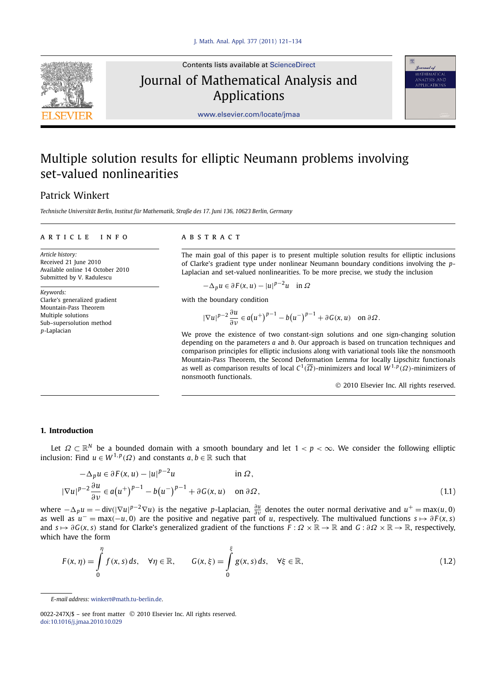

Contents lists available at [ScienceDirect](http://www.ScienceDirect.com/) Journal of Mathematical Analysis and Applications



[www.elsevier.com/locate/jmaa](http://www.elsevier.com/locate/jmaa)

# Multiple solution results for elliptic Neumann problems involving set-valued nonlinearities

## Patrick Winkert

*Technische Universität Berlin, Institut für Mathematik, Straße des 17. Juni 136, 10623 Berlin, Germany*

### article info abstract

*Article history:* Received 21 June 2010 Available online 14 October 2010 Submitted by V. Radulescu

*Keywords:* Clarke's generalized gradient Mountain-Pass Theorem Multiple solutions Sub–supersolution method *p*-Laplacian

The main goal of this paper is to present multiple solution results for elliptic inclusions of Clarke's gradient type under nonlinear Neumann boundary conditions involving the *p*-Laplacian and set-valued nonlinearities. To be more precise, we study the inclusion

$$
-\Delta_p u \in \partial F(x, u) - |u|^{p-2}u \quad \text{in } \Omega
$$

with the boundary condition

$$
|\nabla u|^{p-2}\frac{\partial u}{\partial v}\in a(u^+)^{p-1}-b(u^-)^{p-1}+\partial G(x,u)\quad\text{on }\partial\Omega.
$$

We prove the existence of two constant-sign solutions and one sign-changing solution depending on the parameters *a* and *b*. Our approach is based on truncation techniques and comparison principles for elliptic inclusions along with variational tools like the nonsmooth Mountain-Pass Theorem, the Second Deformation Lemma for locally Lipschitz functionals as well as comparison results of local  $C^1(\overline{\Omega})$ -minimizers and local  $W^{1,p}(\Omega)$ -minimizers of nonsmooth functionals.

© 2010 Elsevier Inc. All rights reserved.

### **1. Introduction**

Let *Ω* ⊂ R*<sup>N</sup>* be a bounded domain with a smooth boundary and let 1 *< p <* ∞. We consider the following elliptic inclusion: Find  $u \in W^{1,p}(\Omega)$  and constants  $a, b \in \mathbb{R}$  such that

$$
-\Delta_p u \in \partial F(x, u) - |u|^{p-2}u \qquad \text{in } \Omega,
$$
  

$$
|\nabla u|^{p-2} \frac{\partial u}{\partial v} \in a(u^+)^{p-1} - b(u^-)^{p-1} + \partial G(x, u) \qquad \text{on } \partial \Omega,
$$
 (1.1)

where  $-\Delta_p u = -\text{div}(|\nabla u|^{p-2} \nabla u)$  is the negative p-Laplacian,  $\frac{\partial u}{\partial \nu}$  denotes the outer normal derivative and  $u^+ = \max(u, 0)$ <br>as well as  $u^- = \max(-u, 0)$  are the positive and negative part of u, respectively. The mu and  $s \mapsto \partial G(x, s)$  stand for Clarke's generalized gradient of the functions  $F : \Omega \times \mathbb{R} \to \mathbb{R}$  and  $G : \partial \Omega \times \mathbb{R} \to \mathbb{R}$ , respectively, which have the form

$$
F(x, \eta) = \int_{0}^{\eta} f(x, s) ds, \quad \forall \eta \in \mathbb{R}, \qquad G(x, \xi) = \int_{0}^{\xi} g(x, s) ds, \quad \forall \xi \in \mathbb{R}, \tag{1.2}
$$

*E-mail address:* [winkert@math.tu-berlin.de](mailto:winkert@math.tu-berlin.de).

<sup>0022-247</sup>X/\$ – see front matter © 2010 Elsevier Inc. All rights reserved. [doi:10.1016/j.jmaa.2010.10.029](http://dx.doi.org/10.1016/j.jmaa.2010.10.029)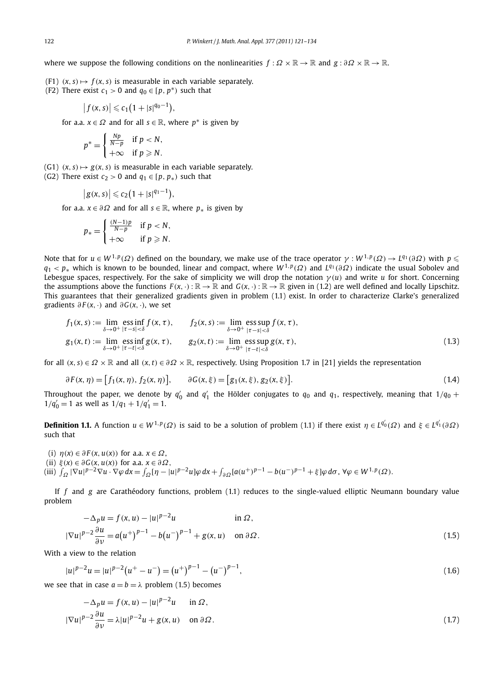where we suppose the following conditions on the nonlinearities  $f : \Omega \times \mathbb{R} \to \mathbb{R}$  and  $g : \partial \Omega \times \mathbb{R} \to \mathbb{R}$ .

- (F1)  $(x, s) \mapsto f(x, s)$  is measurable in each variable separately.
- (F2) There exist  $c_1 > 0$  and  $q_0 \in [p, p^* )$  such that

$$
\left|f(x,s)\right|\leqslant c_1\big(1+|s|^{q_0-1}\big),
$$

for a.a.  $x \in \Omega$  and for all  $s \in \mathbb{R}$ , where  $p^*$  is given by

$$
p^* = \begin{cases} \frac{Np}{N-p} & \text{if } p < N, \\ +\infty & \text{if } p \geqslant N. \end{cases}
$$

- $(G1)$   $(x, s) \mapsto g(x, s)$  is measurable in each variable separately.
- (G2) There exist  $c_2 > 0$  and  $q_1 \in [p, p_*)$  such that

$$
\big|g(x,s)\big|\leqslant c_2\big(1+|s|^{q_1-1}\big),
$$

for a.a.  $x \in \partial \Omega$  and for all  $s \in \mathbb{R}$ , where  $p_*$  is given by

$$
p_* = \begin{cases} \frac{(N-1)p}{N-p} & \text{if } p < N, \\ +\infty & \text{if } p \ge N. \end{cases}
$$

Note that for  $u\in W^{1,p}(\varOmega)$  defined on the boundary, we make use of the trace operator  $\gamma:W^{1,p}(\varOmega)\to L^{q_1}(\partial\varOmega)$  with  $p\leqslant$ *q*<sup>1</sup> *< p*<sup>∗</sup> which is known to be bounded, linear and compact, where *W* <sup>1</sup>*,<sup>p</sup>(Ω)* and *Lq*<sup>1</sup> *(∂Ω)* indicate the usual Sobolev and Lebesgue spaces, respectively. For the sake of simplicity we will drop the notation  $\gamma(u)$  and write *u* for short. Concerning the assumptions above the functions  $F(x, \cdot): \mathbb{R} \to \mathbb{R}$  and  $G(x, \cdot): \mathbb{R} \to \mathbb{R}$  given in (1.2) are well defined and locally Lipschitz. This guarantees that their generalized gradients given in problem (1.1) exist. In order to characterize Clarke's generalized gradients  $\partial F(x, \cdot)$  and  $\partial G(x, \cdot)$ , we set

$$
f_1(x, s) := \lim_{\delta \to 0^+} \operatorname{ess\,inf}_{|\tau - s| < \delta} f(x, \tau), \qquad f_2(x, s) := \lim_{\delta \to 0^+} \operatorname{ess\,sup}_{|\tau - s| < \delta} f(x, \tau),
$$
\n
$$
g_1(x, t) := \lim_{\delta \to 0^+} \operatorname{ess\,inf}_{|\tau - t| < \delta} g(x, \tau), \qquad g_2(x, t) := \lim_{\delta \to 0^+} \operatorname{ess\,sup}_{|\tau - t| < \delta} g(x, \tau), \tag{1.3}
$$

for all  $(x, s) \in \Omega \times \mathbb{R}$  and all  $(x, t) \in \partial \Omega \times \mathbb{R}$ , respectively. Using Proposition 1.7 in [21] yields the representation

$$
\partial F(x, \eta) = [f_1(x, \eta), f_2(x, \eta)], \qquad \partial G(x, \xi) = [g_1(x, \xi), g_2(x, \xi)].
$$
\n(1.4)

Throughout the paper, we denote by  $q'_0$  and  $q'_1$  the Hölder conjugates to  $q_0$  and  $q_1$ , respectively, meaning that  $1/q_0$  +  $1/q'_0 = 1$  as well as  $1/q_1 + 1/q'_1 = 1$ .

**Definition 1.1.** A function  $u \in W^{1,p}(\Omega)$  is said to be a solution of problem (1.1) if there exist  $\eta \in L^{q_0'}(\Omega)$  and  $\xi \in L^{q_1'}(\partial \Omega)$ such that

(i)  $\eta(x) \in \partial F(x, u(x))$  for a.a.  $x \in \Omega$ , (ii) *ξ(x)* ∈ *∂G(x, u(x))* for a.a. *x* ∈ *∂Ω,* (iii)  $\int_{\Omega} |\nabla u|^{p-2} \nabla u \cdot \nabla \varphi dx = \int_{\Omega} \left[ \eta - |u|^{p-2} u \right] \varphi dx + \int_{\partial \Omega} \left[ a(u^+)^{p-1} - b(u^-)^{p-1} + \xi \right] \varphi d\sigma, \ \forall \varphi \in W^{1,p}(\Omega).$ 

If *f* and *g* are Carathéodory functions, problem (1.1) reduces to the single-valued elliptic Neumann boundary value problem

$$
-\Delta_p u = f(x, u) - |u|^{p-2}u \qquad \text{in } \Omega,
$$
  

$$
\nabla u|^{p-2} \frac{\partial u}{\partial v} = a(u^+)^{p-1} - b(u^-)^{p-1} + g(x, u) \qquad \text{on } \partial \Omega.
$$
 (1.5)

With a view to the relation

|∇*u*|

$$
|u|^{p-2}u = |u|^{p-2}(u^+ - u^-) = (u^+)^{p-1} - (u^-)^{p-1},
$$
\n(1.6)

we see that in case  $a = b = \lambda$  problem (1.5) becomes

$$
-\Delta_p u = f(x, u) - |u|^{p-2}u \quad \text{in } \Omega,
$$
  

$$
|\nabla u|^{p-2} \frac{\partial u}{\partial v} = \lambda |u|^{p-2}u + g(x, u) \quad \text{on } \partial \Omega.
$$
 (1.7)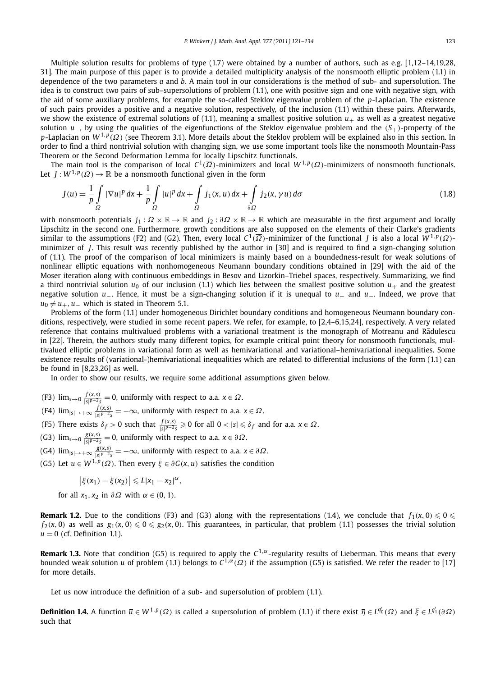Multiple solution results for problems of type (1.7) were obtained by a number of authors, such as e.g. [1,12–14,19,28, 31]. The main purpose of this paper is to provide a detailed multiplicity analysis of the nonsmooth elliptic problem (1.1) in dependence of the two parameters *a* and *b*. A main tool in our considerations is the method of sub- and supersolution. The idea is to construct two pairs of sub–supersolutions of problem (1.1), one with positive sign and one with negative sign, with the aid of some auxiliary problems, for example the so-called Steklov eigenvalue problem of the *p*-Laplacian. The existence of such pairs provides a positive and a negative solution, respectively, of the inclusion (1.1) within these pairs. Afterwards, we show the existence of extremal solutions of  $(1.1)$ , meaning a smallest positive solution  $u_+$  as well as a greatest negative solution *u*−, by using the qualities of the eigenfunctions of the Steklov eigenvalue problem and the *(S*+*)*-property of the *p*-Laplacian on *W* <sup>1</sup>*,<sup>p</sup>(Ω)* (see Theorem 3.1). More details about the Steklov problem will be explained also in this section. In order to find a third nontrivial solution with changing sign, we use some important tools like the nonsmooth Mountain-Pass Theorem or the Second Deformation Lemma for locally Lipschitz functionals.

The main tool is the comparison of local *C*<sup>1</sup>*(Ω)*-minimizers and local *W* <sup>1</sup>*,<sup>p</sup>(Ω)*-minimizers of nonsmooth functionals. Let  $J: W^{1,p}(\Omega) \to \mathbb{R}$  be a nonsmooth functional given in the form

$$
J(u) = \frac{1}{p} \int_{\Omega} |\nabla u|^p \, dx + \frac{1}{p} \int_{\Omega} |u|^p \, dx + \int_{\Omega} j_1(x, u) \, dx + \int_{\partial \Omega} j_2(x, \gamma u) \, d\sigma \tag{1.8}
$$

with nonsmooth potentials  $j_1 : \Omega \times \mathbb{R} \to \mathbb{R}$  and  $j_2 : \partial \Omega \times \mathbb{R} \to \mathbb{R}$  which are measurable in the first argument and locally Lipschitz in the second one. Furthermore, growth conditions are also supposed on the elements of their Clarke's gradients similar to the assumptions (F2) and (G2). Then, every local  $C^1(\overline{\Omega})$ -minimizer of the functional *I* is also a local  $W^{1,p}(\Omega)$ minimizer of *J*. This result was recently published by the author in [30] and is required to find a sign-changing solution of (1.1). The proof of the comparison of local minimizers is mainly based on a boundedness-result for weak solutions of nonlinear elliptic equations with nonhomogeneous Neumann boundary conditions obtained in [29] with the aid of the Moser iteration along with continuous embeddings in Besov and Lizorkin–Triebel spaces, respectively. Summarizing, we find a third nontrivial solution  $u_0$  of our inclusion (1.1) which lies between the smallest positive solution  $u_+$  and the greatest negative solution *u*−. Hence, it must be a sign-changing solution if it is unequal to *u*+ and *u*−. Indeed, we prove that  $u_0 \neq u_+$ , *u*− which is stated in Theorem 5.1.

Problems of the form (1.1) under homogeneous Dirichlet boundary conditions and homogeneous Neumann boundary conditions, respectively, were studied in some recent papers. We refer, for example, to [2,4–6,15,24], respectively. A very related reference that contains multivalued problems with a variational treatment is the monograph of Motreanu and Radulescu ˘ in [22]. Therein, the authors study many different topics, for example critical point theory for nonsmooth functionals, multivalued elliptic problems in variational form as well as hemivariational and variational–hemivariational inequalities. Some existence results of (variational-)hemivariational inequalities which are related to differential inclusions of the form (1.1) can be found in [8,23,26] as well.

In order to show our results, we require some additional assumptions given below.

- $(F3)$   $\lim_{s\to 0} \frac{f(x,s)}{|s|^{p-2}s} = 0$ , uniformly with respect to a.a.  $x \in \Omega$ .
- $(F4)$   $\lim_{|s| \to +\infty} \frac{f(x,s)}{|s|^{p-2}s} = -\infty$ , uniformly with respect to a.a.  $x \in \Omega$ .
- (F5) There exists  $\delta_f > 0$  such that  $\frac{f(x,s)}{|s|^{p-2}s} \geqslant 0$  for all  $0 < |s| \leqslant \delta_f$  and for a.a.  $x \in \Omega$ .
- $(G3)$   $\lim_{s\to 0} \frac{g(x,s)}{|s|^{p-2}s} = 0$ , uniformly with respect to a.a.  $x \in \partial\Omega$ .
- $(G4)$   $\lim_{|s|\to+\infty}\frac{g(x,s)}{|s|^{p-2}s}=-\infty,$  uniformly with respect to a.a.  $x\in\partial\Omega.$
- (G5) Let *u* ∈ *W* <sup>1</sup>*,<sup>p</sup>(Ω)*. Then every *ξ* ∈ *∂G(x, u)* satisfies the condition

$$
\left|\xi(x_1)-\xi(x_2)\right|\leqslant L|x_1-x_2|^{\alpha},
$$

for all  $x_1, x_2$  in  $\partial \Omega$  with  $\alpha \in (0, 1)$ .

**Remark 1.2.** Due to the conditions (F3) and (G3) along with the representations (1.4), we conclude that  $f_1(x,0) \leqslant 0 \leqslant 1$  $f_2(x,0)$  as well as  $g_1(x,0) \le 0 \le g_2(x,0)$ . This guarantees, in particular, that problem (1.1) possesses the trivial solution  $u = 0$  (cf. Definition 1.1).

**Remark 1.3.** Note that condition (G5) is required to apply the *C*1*,α*-regularity results of Lieberman. This means that every bounded weak solution *u* of problem (1.1) belongs to  $C^{1,\alpha}(\overline{\Omega})$  if the assumption (G5) is satisfied. We refer the reader to [17] for more details.

Let us now introduce the definition of a sub- and supersolution of problem  $(1.1)$ .

**Definition 1.4.** A function  $\overline{u} \in W^{1,p}(\Omega)$  is called a supersolution of problem (1.1) if there exist  $\overline{\eta} \in L^{q_0'}(\Omega)$  and  $\overline{\xi} \in L^{q_1'}(\partial \Omega)$ such that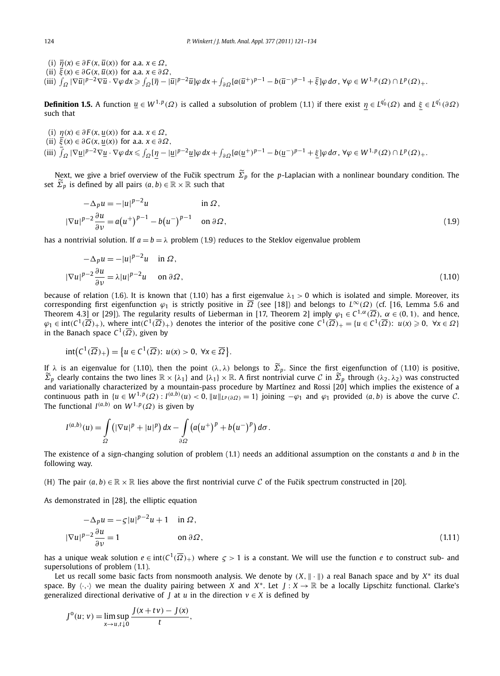(i)  $\overline{\eta}(x) \in \partial F(x, \overline{u}(x))$  for a.a.  $x \in \Omega$ ,  $\overline{\xi}(x) \in \partial G(x, \overline{u}(x))$  for a.a.  $x \in \partial \Omega$ , (iii)  $\int_{\Omega} |\nabla \overline{u}|^{p-2} \nabla \overline{u} \cdot \nabla \varphi dx \ge \int_{\Omega} [\overline{\eta} - |\overline{u}|^{p-2} \overline{u}] \varphi dx + \int_{\partial \Omega} [a(\overline{u}^+)^{p-1} - b(\overline{u}^-)^{p-1} + \overline{\xi}] \varphi d\sigma, \forall \varphi \in W^{1,p}(\Omega) \cap L^p(\Omega) + \overline{\xi}$ 

**Definition 1.5.** A function  $\underline{u} \in W^{1,p}(\Omega)$  is called a subsolution of problem (1.1) if there exist  $\eta \in L^{q_0'}(\Omega)$  and  $\xi \in L^{q_1'}(\partial \Omega)$ such that

(i)  $\eta(x) \in \partial F(x, \underline{u}(x))$  for a.a.  $x \in \Omega$ ,  $\overline{\xi}(x) \in \partial G(x, \underline{u}(x))$  for a.a.  $x \in \partial \Omega$ , (iii)  $\int_{\Omega} |\nabla \underline{u}|^{p-2} \nabla \underline{u} \cdot \nabla \varphi dx \le \int_{\Omega} \underline{[\eta - |\underline{u}|^{p-2} \underline{u}]} \varphi dx + \int_{\partial \Omega} [a(\underline{u}^+)^{p-1} - b(\underline{u}^-)^{p-1} + \frac{\xi}{2}] \varphi d\sigma, \forall \varphi \in W^{1,p}(\Omega) \cap L^p(\Omega) + \frac{\xi}{2}$ 

Next, we give a brief overview of the Fučik spectrum Σ<sub>*p*</sub> for the *p*-Laplacian with a nonlinear boundary condition. The <br>
interaction in the set of the set of the set of the set of the *p*-Laplacian with a nonlinear b set  $\widetilde{\Sigma}_p$  is defined by all pairs  $(a, b) \in \mathbb{R} \times \mathbb{R}$  such that

$$
-\Delta_p u = -|u|^{p-2}u \qquad \text{in } \Omega,
$$
  

$$
\nabla u|^{p-2} \frac{\partial u}{\partial v} = a(u^+)^{p-1} - b(u^-)^{p-1} \qquad \text{on } \partial \Omega,
$$
 (1.9)

has a nontrivial solution. If  $a = b = \lambda$  problem (1.9) reduces to the Steklov eigenvalue problem

$$
-\Delta_p u = -|u|^{p-2}u \quad \text{in } \Omega,
$$
  

$$
|\nabla u|^{p-2} \frac{\partial u}{\partial v} = \lambda |u|^{p-2}u \quad \text{on } \partial \Omega,
$$
 (1.10)

because of relation (1.6). It is known that (1.10) has a first eigenvalue  $\lambda_1 > 0$  which is isolated and simple. Moreover, its corresponding first eigenfunction  $\varphi_1$  is strictly positive in  $\overline{\Omega}$  (see [18]) and belongs to  $L^{\infty}(\Omega)$  (cf. [16, Lemma 5.6 and Theorem 4.3] or [29]). The regularity results of Lieberman in [17, Theorem 2] imply  $\varphi_1 \in C^{1,\alpha}(\overline{\Omega})$ ,  $\alpha \in (0,1)$ , and hence,  $\varphi_1 \in \text{int}(C^1(\overline{\Omega})_+)$ , where  $\text{int}(C^1(\overline{\Omega})_+)$  denotes the interior of the positive cone  $C^1(\overline{\Omega})_+ = \{u \in C^1(\overline{\Omega}) : u(x) \ge 0, \forall x \in \Omega\}$ in the Banach space  $C^1(\overline{\Omega})$ , given by

$$
int(C^1(\overline{\Omega})_+) = \{u \in C^1(\overline{\Omega}) : u(x) > 0, \ \forall x \in \overline{\Omega}\}.
$$

If *λ* is an eigenvalue for (1.10), then the point *(λ, λ)* belongs to  $\Sigma_p$ . Since the first eigenfunction of (1.10) is positive, *Σ*<sub>*p*</sub> clearly contains the two lines  $\mathbb{R} \times \{\lambda_1\}$  and  $\{\lambda_1\} \times \mathbb{R}$ . A first nontrivial curve *C* in  $\widetilde{Z}_p$  through  $(\lambda_2, \lambda_2)$  was constructed and variationally characterized by a mountain-pass procedure by Martínez and Rossi [20] which implies the existence of a continuous path in  $\{u \in W^{1,p}(\Omega) : I^{(a,b)}(u) < 0, \|u\|_{L^p(\partial \Omega)} = 1\}$  joining  $-\varphi_1$  and  $\varphi_1$  provided  $(a,b)$  is above the curve C. The functional  $I^{(a,b)}$  on  $W^{1,p}(\Omega)$  is given by

$$
I^{(a,b)}(u) = \int\limits_{\Omega} \left( |\nabla u|^p + |u|^p \right) dx - \int\limits_{\partial\Omega} \left( a(u^+)^p + b(u^-)^p \right) d\sigma.
$$

The existence of a sign-changing solution of problem (1.1) needs an additional assumption on the constants *a* and *b* in the following way.

(H) The pair  $(a, b) \in \mathbb{R} \times \mathbb{R}$  lies above the first nontrivial curve C of the Fučik spectrum constructed in [20].

As demonstrated in [28], the elliptic equation

$$
-\Delta_p u = -\zeta |u|^{p-2}u + 1 \quad \text{in } \Omega,
$$
  

$$
|\nabla u|^{p-2} \frac{\partial u}{\partial v} = 1 \qquad \text{on } \partial \Omega,
$$
 (1.11)

has a unique weak solution  $e \in \text{int}(C^1(\overline{\Omega})_+)$  where  $\zeta > 1$  is a constant. We will use the function *e* to construct sub- and supersolutions of problem (1.1).

Let us recall some basic facts from nonsmooth analysis. We denote by  $(X, \| \cdot \|)$  a real Banach space and by  $X^*$  its dual space. By  $\langle \cdot, \cdot \rangle$  we mean the duality pairing between *X* and *X*<sup>\*</sup>. Let *J* : *X*  $\rightarrow \mathbb{R}$  be a locally Lipschitz functional. Clarke's generalized directional derivative of *J* at *u* in the direction  $v \in X$  is defined by

$$
J^{o}(u; v) = \limsup_{x \to u, t \downarrow 0} \frac{J(x + tv) - J(x)}{t},
$$

|∇*u*|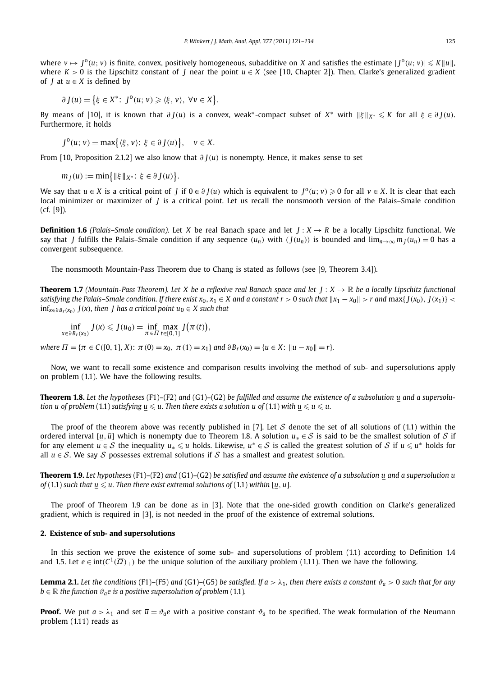where  $v\mapsto J^o(u;v)$  is finite, convex, positively homogeneous, subadditive on X and satisfies the estimate  $|J^o(u;v)|\leqslant K\|u\|$ , where *K >* 0 is the Lipschitz constant of *J* near the point *u* ∈ *X* (see [10, Chapter 2]). Then, Clarke's generalized gradient of *J* at  $u \in X$  is defined by

$$
\partial J(u) = \left\{ \xi \in X^* \colon J^0(u; v) \geqslant \langle \xi, v \rangle, \ \forall v \in X \right\}.
$$

By means of [10], it is known that  $\partial J(u)$  is a convex, weak<sup>\*</sup>-compact subset of  $X^*$  with  $\|\xi\|_{X^*} \leqslant K$  for all  $\xi \in \partial J(u)$ . Furthermore, it holds

$$
J^{0}(u; v) = \max\{\langle \xi, v \rangle : \xi \in \partial J(u)\}, \quad v \in X.
$$

From [10, Proposition 2.1.2] we also know that *∂ J(u)* is nonempty. Hence, it makes sense to set

 $m_j(u) := \min\{\|\xi\|_{X^*}: \xi \in \partial J(u)\}.$ 

We say that  $u \in X$  is a critical point of *I* if  $0 \in \partial I(u)$  which is equivalent to  $I^0(u; v) \ge 0$  for all  $v \in X$ . It is clear that each local minimizer or maximizer of *J* is a critical point. Let us recall the nonsmooth version of the Palais–Smale condition (cf. [9]).

**Definition 1.6** *(Palais–Smale condition).* Let *X* be real Banach space and let  $J: X \rightarrow R$  be a locally Lipschitz functional. We say that *J* fulfills the Palais-Smale condition if any sequence  $(u_n)$  with  $(J(u_n))$  is bounded and  $\lim_{n\to\infty} m_J(u_n) = 0$  has a convergent subsequence.

The nonsmooth Mountain-Pass Theorem due to Chang is stated as follows (see [9, Theorem 3.4]).

**Theorem 1.7** *(Mountain-Pass Theorem). Let X be a reflexive real Banach space and let*  $J: X \to \mathbb{R}$  *be a locally Lipschitz functional* satisfying the Palais–Smale condition. If there exist  $x_0, x_1 \in X$  and a constant  $r > 0$  such that  $||x_1 - x_0|| > r$  and  $max\{f(x_0), f(x_1)\} <$  $inf_{x \in \partial B_r(x_0)}$  *J*(*x*)*,* then *J* has a critical point  $u_0 \in X$  such that

$$
\inf_{x\in \partial B_r(x_0)} J(x) \leqslant J(u_0) = \inf_{\pi\in \Pi} \max_{t\in [0,1]} J(\pi(t)),
$$

where  $\Pi = {\pi \in C([0, 1], X): \pi(0) = x_0, \pi(1) = x_1}$  and  $\partial B_r(x_0) = {u \in X: ||u - x_0|| = r}.$ 

Now, we want to recall some existence and comparison results involving the method of sub- and supersolutions apply on problem (1.1). We have the following results.

**Theorem 1.8.** *Let the hypotheses* (F1)*–*(F2) *and* (G1)*–*(G2) *be fulfilled and assume the existence of a subsolution u and a supersolu*tion  $\overline{u}$  of problem (1.1) satisfying  $\underline{u}\leqslant\overline{u}.$  Then there exists a solution  $u$  of (1.1) with  $\underline{u}\leqslant u\leqslant\overline{u}.$ 

The proof of the theorem above was recently published in [7]. Let  $S$  denote the set of all solutions of (1.1) within the ordered interval [*u*,  $\bar{u}$ ] which is nonempty due to Theorem 1.8. A solution  $u_* \in S$  is said to be the smallest solution of S if for any element  $u \in S$  the inequality  $u_* \leq u$  holds. Likewise,  $u^* \in S$  is called the greatest solution of S if  $u \leq u^*$  holds for all  $u \in S$ . We say S possesses extremal solutions if S has a smallest and greatest solution.

**Theorem 1.9.** Let hypotheses (F1)–(F2) and (G1)–(G2) be satisfied and assume the existence of a subsolution u and a supersolution  $\bar{u}$ of ( 1.1 ) such that  $\underline{u}\leqslant\overline{u}.$  Then there exist extremal solutions of ( 1.1 ) within [ $\underline{u},\overline{u}$ ].

The proof of Theorem 1.9 can be done as in [3]. Note that the one-sided growth condition on Clarke's generalized gradient, which is required in [3], is not needed in the proof of the existence of extremal solutions.

### **2. Existence of sub- and supersolutions**

In this section we prove the existence of some sub- and supersolutions of problem (1.1) according to Definition 1.4 and 1.5. Let  $e \in \text{int}(C^1(\overline{\Omega})_+)$  be the unique solution of the auxiliary problem (1.11). Then we have the following.

**Lemma 2.1.** Let the conditions (F1)–(F5) and (G1)–(G5) be satisfied. If  $a > \lambda_1$ , then there exists a constant  $\vartheta_a > 0$  such that for any *b*  $\in \mathbb{R}$  *the function*  $\vartheta_a e$  *is a positive supersolution of problem* (1.1)*.* 

**Proof.** We put  $a > \lambda_1$  and set  $\overline{u} = \vartheta_a e$  with a positive constant  $\vartheta_a$  to be specified. The weak formulation of the Neumann problem (1.11) reads as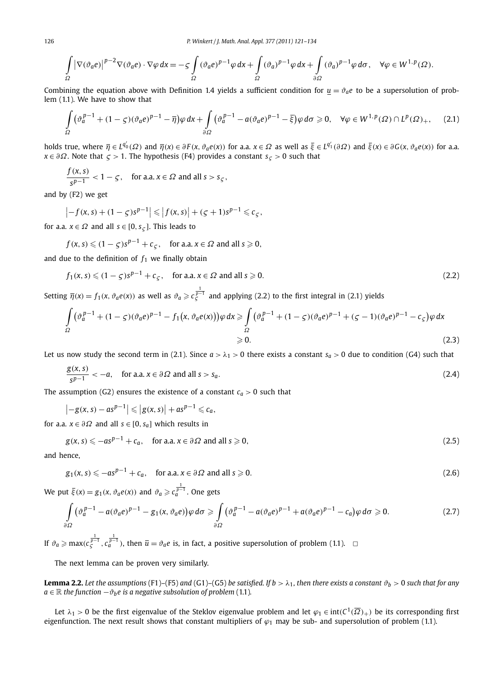$$
\int_{\Omega} \left|\nabla(\vartheta_a e)\right|^{p-2} \nabla(\vartheta_a e) \cdot \nabla \varphi \, dx = -\zeta \int_{\Omega} (\vartheta_a e)^{p-1} \varphi \, dx + \int_{\Omega} (\vartheta_a)^{p-1} \varphi \, dx + \int_{\partial \Omega} (\vartheta_a)^{p-1} \varphi \, d\sigma, \quad \forall \varphi \in W^{1,p}(\Omega).
$$

Combining the equation above with Definition 1.4 yields a sufficient condition for  $u = \vartheta_a e$  to be a supersolution of problem (1.1). We have to show that

$$
\int_{\Omega} (\vartheta_a^{p-1} + (1 - \varsigma)(\vartheta_a e)^{p-1} - \overline{\eta}) \varphi \, dx + \int_{\partial \Omega} (\vartheta_a^{p-1} - a(\vartheta_a e)^{p-1} - \overline{\xi}) \varphi \, d\sigma \ge 0, \quad \forall \varphi \in W^{1,p}(\Omega) \cap L^p(\Omega)_+, \tag{2.1}
$$

holds true, where  $\overline{\eta}\in L^{q_0'}(\varOmega)$  and  $\overline{\eta}(x)\in \partial F(x,\vartheta_a e(x))$  for a.a.  $x\in \varOmega$  as well as  $\overline{\xi}\in L^{q_1'}(\partial\varOmega)$  and  $\overline{\xi}(x)\in \partial G(x,\vartheta_a e(x))$  for a.a. *x* ∈ *∂Ω*. Note that *ς >* 1. The hypothesis (F4) provides a constant *sς >* 0 such that

$$
\frac{f(x,s)}{s^{p-1}} < 1 - \varsigma, \quad \text{for a.a. } x \in \Omega \text{ and all } s > s_{\varsigma},
$$

and by (F2) we get

$$
|-f(x, s) + (1 - \zeta)s^{p-1}| \le |f(x, s)| + (\zeta + 1)s^{p-1} \le c_{\zeta},
$$

for a.a.  $x \in \Omega$  and all  $s \in [0, s<sub>c</sub>]$ . This leads to

$$
f(x, s) \leq (1 - \zeta)s^{p-1} + c_{\zeta}
$$
, for a.a.  $x \in \Omega$  and all  $s \geq 0$ ,

and due to the definition of  $f_1$  we finally obtain

$$
f_1(x, s) \leq (1 - \zeta)s^{p-1} + c_{\zeta}, \quad \text{for a.a. } x \in \Omega \text{ and all } s \geq 0.
$$
 (2.2)

Setting  $\overline{\eta}(x) = f_1(x, \vartheta_q e(x))$  as well as  $\vartheta_q \geqslant c_{\zeta}^{\frac{1}{p-1}}$  and applying (2.2) to the first integral in (2.1) yields

$$
\int_{\Omega} \left(\vartheta_a^{p-1} + (1-\varsigma)(\vartheta_a e)^{p-1} - f_1(x, \vartheta_a e(x))\right)\varphi dx \ge \int_{\Omega} \left(\vartheta_a^{p-1} + (1-\varsigma)(\vartheta_a e)^{p-1} + (\varsigma - 1)(\vartheta_a e)^{p-1} - c_{\varsigma}\right)\varphi dx
$$
\n
$$
\ge 0.
$$
\n(2.3)

Let us now study the second term in (2.1). Since  $a > \lambda_1 > 0$  there exists a constant  $s_a > 0$  due to condition (G4) such that

$$
\frac{g(x,s)}{s^{p-1}} < -a, \quad \text{for a.a. } x \in \partial \Omega \text{ and all } s > s_a.
$$
 (2.4)

The assumption (G2) ensures the existence of a constant  $c_a > 0$  such that

$$
\left|-g(x,s)-as^{p-1}\right|\leqslant\left|g(x,s)\right|+as^{p-1}\leqslant c_a,
$$

for a.a.  $x \in \partial \Omega$  and all  $s \in [0, s_a]$  which results in

$$
g(x, s) \le -as^{p-1} + c_a
$$
, for a.a.  $x \in \partial \Omega$  and all  $s \ge 0$ ,  $(2.5)$ 

and hence,

$$
g_1(x, s) \le -as^{p-1} + c_a
$$
, for a.a.  $x \in \partial \Omega$  and all  $s \ge 0$ . (2.6)

We put  $\overline{\xi}(x) = g_1(x, \vartheta_a e(x))$  and  $\vartheta_a \geq c_d^{\frac{1}{p-1}}$ . One gets

$$
\int_{\partial\Omega} \left( \vartheta_a^{p-1} - a(\vartheta_a e)^{p-1} - g_1(x, \vartheta_a e) \right) \varphi \, d\sigma \ge \int_{\partial\Omega} \left( \vartheta_a^{p-1} - a(\vartheta_a e)^{p-1} + a(\vartheta_a e)^{p-1} - c_a \right) \varphi \, d\sigma \ge 0.
$$
\n(2.7)

If  $\vartheta_a \ge \max(c_{\mathcal{S}}^{\frac{1}{p-1}}, c_d^{\frac{1}{p-1}})$ , then  $\overline{u} = \vartheta_a e$  is, in fact, a positive supersolution of problem (1.1).  $\Box$ 

The next lemma can be proven very similarly.

**Lemma 2.2.** Let the assumptions (F1)–(F5) and (G1)–(G5) be satisfied. If  $b > \lambda_1$ , then there exists a constant  $\vartheta_b > 0$  such that for any  $a \in \mathbb{R}$  *the function*  $-\vartheta_b e$  *is a negative subsolution of problem* (1.1)*.* 

Let  $\lambda_1 > 0$  be the first eigenvalue of the Steklov eigenvalue problem and let  $\varphi_1 \in \text{int}(C^1(\overline{\Omega})_+)$  be its corresponding first eigenfunction. The next result shows that constant multipliers of  $\varphi_1$  may be sub- and supersolution of problem (1.1).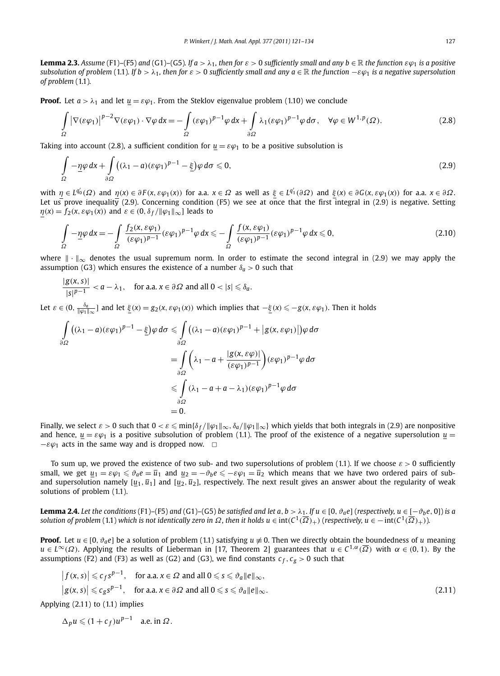**Lemma 2.3.** Assume (F1)-(F5) and (G1)-(G5). If  $a > \lambda_1$ , then for  $\varepsilon > 0$  sufficiently small and any  $b \in \mathbb{R}$  the function  $\varepsilon \varphi_1$  is a positive *subsolution of problem* (1.1)*. If b* >  $\lambda_1$ *, then for*  $\varepsilon$  > 0 *sufficiently small and any*  $a \in \mathbb{R}$  *the function*  $-\varepsilon \varphi_1$  *is a negative supersolution of problem* (1.1)*.*

**Proof.** Let  $a > \lambda_1$  and let  $u = \varepsilon \varphi_1$ . From the Steklov eigenvalue problem (1.10) we conclude

$$
\int_{\Omega} \left| \nabla(\varepsilon \varphi_1) \right|^{p-2} \nabla(\varepsilon \varphi_1) \cdot \nabla \varphi \, dx = -\int_{\Omega} (\varepsilon \varphi_1)^{p-1} \varphi \, dx + \int_{\partial \Omega} \lambda_1 (\varepsilon \varphi_1)^{p-1} \varphi \, d\sigma, \quad \forall \varphi \in W^{1,p}(\Omega). \tag{2.8}
$$

Taking into account (2.8), a sufficient condition for  $u = \varepsilon \varphi_1$  to be a positive subsolution is

$$
\int_{\Omega} -\underline{\eta}\varphi \,dx + \int_{\partial\Omega} \left( (\lambda_1 - a)(\varepsilon\varphi_1)^{p-1} - \underline{\xi} \right) \varphi \,d\sigma \leq 0, \tag{2.9}
$$

with  $\eta \in L^{q_0'}(\Omega)$  and  $\eta(x) \in \partial F(x, \varepsilon \varphi_1(x))$  for a.a.  $x \in \Omega$  as well as  $\xi \in L^{q_1'}(\partial \Omega)$  and  $\xi(x) \in \partial G(x, \varepsilon \varphi_1(x))$  for a.a.  $x \in \partial \Omega$ . Let us prove inequality (2.9). Concerning condition (F5) we see at once that the first integral in (2.9) is negative. Setting  $\eta(x) = f_2(x, \varepsilon \varphi_1(x))$  and  $\varepsilon \in (0, \delta_f / ||\varphi_1||_{\infty}]$  leads to

$$
\int_{\Omega} -\underline{\eta}\varphi \,dx = -\int_{\Omega} \frac{f_2(x,\varepsilon\varphi_1)}{(\varepsilon\varphi_1)^{p-1}} (\varepsilon\varphi_1)^{p-1} \varphi \,dx \leq -\int_{\Omega} \frac{f(x,\varepsilon\varphi_1)}{(\varepsilon\varphi_1)^{p-1}} (\varepsilon\varphi_1)^{p-1} \varphi \,dx \leq 0,
$$
\n(2.10)

where  $\|\cdot\|_{\infty}$  denotes the usual supremum norm. In order to estimate the second integral in (2.9) we may apply the assumption (G3) which ensures the existence of a number  $\delta_a > 0$  such that

$$
\frac{|g(x,s)|}{|s|^{p-1}} < a - \lambda_1, \quad \text{for a.a. } x \in \partial \Omega \text{ and all } 0 < |s| \leq \delta_a.
$$

Let  $\varepsilon \in (0, \frac{\delta_a}{\|\varphi_1\|_{\infty}}]$  and let  $\underline{\xi}(x) = g_2(x, \varepsilon \varphi_1(x))$  which implies that  $-\underline{\xi}(x) \leq -g(x, \varepsilon \varphi_1)$ . Then it holds

$$
\int_{\partial\Omega} ((\lambda_1 - a)(\varepsilon\varphi_1)^{p-1} - \underline{\xi})\varphi \,d\sigma \le \int_{\partial\Omega} ((\lambda_1 - a)(\varepsilon\varphi_1)^{p-1} + |g(x, \varepsilon\varphi_1)|)\varphi \,d\sigma
$$
\n
$$
= \int_{\partial\Omega} \left( \lambda_1 - a + \frac{|g(x, \varepsilon\varphi)|}{(\varepsilon\varphi_1)^{p-1}} \right) (\varepsilon\varphi_1)^{p-1} \varphi \,d\sigma
$$
\n
$$
\le \int_{\partial\Omega} (\lambda_1 - a + a - \lambda_1)(\varepsilon\varphi_1)^{p-1} \varphi \,d\sigma
$$
\n
$$
= 0.
$$

Finally, we select  $\varepsilon >0$  such that  $0<\varepsilon \leqslant \min\{\delta_f/\|\varphi_1\|_{\infty},\delta_a/\|\varphi_1\|_{\infty}\}$  which yields that both integrals in (2.9) are nonpositive and hence,  $u = \varepsilon \varphi_1$  is a positive subsolution of problem (1.1). The proof of the existence of a negative supersolution  $u =$  $-\varepsilon\varphi_1$  acts in the same way and is dropped now.  $\Box$ 

To sum up, we proved the existence of two sub- and two supersolutions of problem (1.1). If we choose *ε >* 0 sufficiently small, we get  $\underline{u}_1=\varepsilon\varphi_1\leqslant\vartheta_a$ e $=\overline{u}_1$  and  $\underline{u}_2=-\vartheta_b$ e  $\leqslant-\varepsilon\varphi_1=\overline{u}_2$  which means that we have two ordered pairs of suband supersolution namely  $[u_1, \overline{u}_1]$  and  $[u_2, \overline{u}_2]$ , respectively. The next result gives an answer about the regularity of weak solutions of problem (1.1).

**Lemma 2.4.** Let the conditions (F1)–(F5) and (G1)–(G5) be satisfied and let  $a, b > \lambda_1$ . If  $u \in [0, \vartheta_a e]$  (respectively,  $u \in [-\vartheta_b e, 0]$ ) is a *solution of problem* (1.1) *which is not identically zero in*  $\Omega$ *, then it holds u* ∈ int $(C^1(\overline{\Omega})_+)$  (*respectively, u* ∈ − int $(C^1(\overline{\Omega})_+)$ )*.* 

**Proof.** Let  $u \in [0, \vartheta_a e]$  be a solution of problem (1.1) satisfying  $u \neq 0$ . Then we directly obtain the boundedness of *u* meaning *u* ∈ *L*<sup>∞</sup>( $\Omega$ ). Applying the results of Lieberman in [17, Theorem 2] guarantees that *u* ∈  $C^{1,\alpha}(\overline{\Omega})$  with  $\alpha \in (0,1)$ . By the assumptions (F2) and (F3) as well as (G2) and (G3), we find constants  $c_f$ ,  $c_g > 0$  such that

$$
|f(x, s)| \leqslant c_f s^{p-1}, \quad \text{for a.a. } x \in \Omega \text{ and all } 0 \leqslant s \leqslant \vartheta_a ||e||_{\infty},
$$
  

$$
|g(x, s)| \leqslant c_g s^{p-1}, \quad \text{for a.a. } x \in \partial \Omega \text{ and all } 0 \leqslant s \leqslant \vartheta_a ||e||_{\infty}.
$$
  
(2.11)

Applying (2.11) to (1.1) implies

 $\Delta_p u \leq (1 + c_f)u^{p-1}$  a.e. in  $\Omega$ .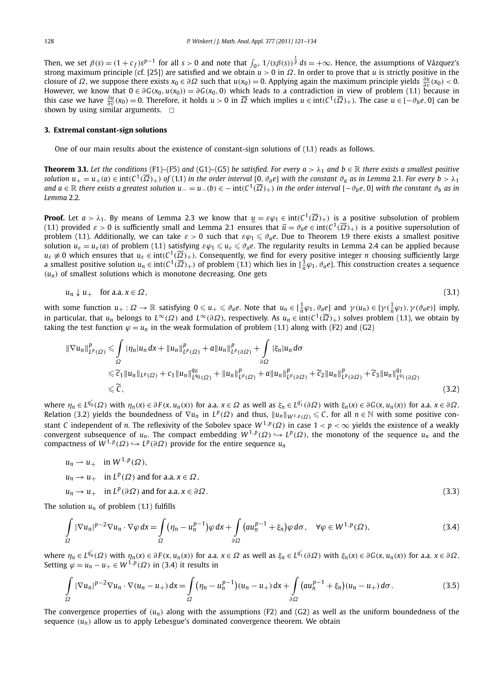Then, we set  $\beta(s) = (1+c_f)s^{p-1}$  for all  $s > 0$  and note that  $\int_{0^+} 1/(s\beta(s))^{\frac{1}{p}} ds = +\infty$ . Hence, the assumptions of Vázquez's strong maximum principle (cf. [25]) are satisfied and we obtain *u >* 0 in *Ω*. In order to prove that *u* is strictly positive in the closure of *Ω*, we suppose there exists  $x_0 \in \partial \Omega$  such that  $u(x_0) = 0$ . Applying again the maximum principle yields  $\frac{\partial u}{\partial \nu}(x_0) < 0$ . However, we know that  $0 \in \partial G(x_0, u(x_0)) = \partial G(x_0, 0)$  which leads to a contradiction in view of problem (1.1) because in this case we have  $\frac{\partial u}{\partial v}(x_0) = 0$ . Therefore, it holds  $u > 0$  in  $\overline{\Omega}$  which implies  $u \in \text{int}(C^1(\overline{\Omega})_+)$ . The case  $u \in [-\vartheta_b e, 0]$  can be shown by using similar arguments.  $\Box$ 

#### **3. Extremal constant-sign solutions**

One of our main results about the existence of constant-sign solutions of (1.1) reads as follows.

**Theorem 3.1.** Let the conditions (F1)–(F5) and (G1)–(G5) be satisfied. For every  $a > \lambda_1$  and  $b \in \mathbb{R}$  there exists a smallest positive solution  $u_+ = u_+(a) \in \text{int}(C^1(\overline{\Omega})_+)$  of (1.1) in the order interval [0,  $\vartheta_a e$ ] with the constant  $\vartheta_a$  as in Lemma 2.1. For every  $b > \lambda_1$ and  $a \in \mathbb{R}$  there exists a greatest solution  $u = u_-(b) \in -int(C^1(\overline{\Omega})_+)$  in the order interval  $[-\partial_b e, 0]$  with the constant  $\partial_b$  as in *Lemma* 2.2*.*

**Proof.** Let  $a > \lambda_1$ . By means of Lemma 2.3 we know that  $\underline{u} = \varepsilon \varphi_1 \in \text{int}(C^1(\overline{\Omega})_+)$  is a positive subsolution of problem (1.1) provided  $\varepsilon > 0$  is sufficiently small and Lemma 2.1 ensures that  $\overline{u} = \vartheta_a e \in \text{int}(C^1(\overline{\Omega})_+)$  is a positive supersolution of problem (1.1). Additionally, we can take  $\varepsilon > 0$  such that  $\varepsilon\varphi_1 \le \vartheta_a e$ . Due to Theorem 1.9 there exists a smallest positive solution  $u_\varepsilon = u_\varepsilon(a)$  of problem (1.1) satisfying  $\varepsilon\varphi_1 \leqslant u_\varepsilon \leqslant \vartheta_a$ e. The regularity results in Lemma 2.4 can be applied because  $u_{\varepsilon} \neq 0$  which ensures that  $u_{\varepsilon} \in \text{int}(C^1(\overline{\Omega})_+)$ . Consequently, we find for every positive integer *n* choosing sufficiently large a smallest positive solution  $u_n \in \text{int}(C^1(\overline{\Omega})_+)$  of problem (1.1) which lies in  $[\frac{1}{n}\varphi_1, \vartheta_a e]$ . This construction creates a sequence  $(u_n)$  of smallest solutions which is monotone decreasing. One gets

$$
u_n \downarrow u_+ \quad \text{for a.a. } x \in \Omega,\tag{3.1}
$$

with some function  $u_+:\Omega\to\mathbb{R}$  satisfying  $0\leqslant u_+\leqslant\vartheta_a$ e. Note that  $u_n\in[\frac{1}{n}\varphi_1,\vartheta_a$ e] and  $\gamma(u_n)\in[\gamma(\frac{1}{n}\varphi_1),\gamma(\vartheta_a$ e] imply, in particular, that  $u_n$  belongs to  $L^\infty(\Omega)$  and  $L^\infty(\partial\Omega)$ , respectively. As  $u_n \in \text{int}(C^1(\overline{\Omega})_+)$  solves problem (1.1), we obtain by taking the test function  $\varphi = u_n$  in the weak formulation of problem (1.1) along with (F2) and (G2)

$$
\|\nabla u_{n}\|_{L^{p}(\Omega)}^{p} \leq \int_{\Omega} |\eta_{n}|u_{n} dx + \|u_{n}\|_{L^{p}(\Omega)}^{p} + a\|u_{n}\|_{L^{p}(\partial\Omega)}^{p} + \int_{\partial\Omega} |\xi_{n}|u_{n} d\sigma
$$
  
\n
$$
\leq \widetilde{c}_{1} \|u_{n}\|_{L^{p}(\Omega)} + c_{1} \|u_{n}\|_{L^{q_{0}}(\Omega)}^{q_{0}} + \|u_{n}\|_{L^{p}(\Omega)}^{p} + a\|u_{n}\|_{L^{p}(\partial\Omega)}^{p} + \widetilde{c}_{2} \|u_{n}\|_{L^{p}(\partial\Omega)}^{p} + \widetilde{c}_{3} \|u_{n}\|_{L^{q_{1}}(\partial\Omega)}^{q_{1}}
$$
  
\n
$$
\leq \widetilde{c}, \qquad (3.2)
$$

where  $\eta_n \in L^{q'_0}(\Omega)$  with  $\eta_n(x) \in \partial F(x, u_n(x))$  for a.a.  $x \in \Omega$  as well as  $\xi_n \in L^{q'_1}(\partial \Omega)$  with  $\xi_n(x) \in \partial G(x, u_n(x))$  for a.a.  $x \in \partial \Omega$ . Relation (3.2) yields the boundedness of  $\nabla u_n$  in  $L^p(\Omega)$  and thus,  $||u_n||_{W^{1,p}(\Omega)} \leq C$ , for all  $n \in \mathbb{N}$  with some positive constant *C* independent of *n*. The reflexivity of the Sobolev space  $W^{1,p}(\Omega)$  in case  $1 < p < \infty$  yields the existence of a weakly convergent subsequence of  $u_n$ . The compact embedding  $W^{1,p}(\Omega) \hookrightarrow L^p(\Omega)$ , the monotony of the sequence  $u_n$  and the compactness of  $W^{1,p}(\Omega) \hookrightarrow L^p(\partial\Omega)$  provide for the entire sequence  $u_n$ 

$$
u_n \rightharpoonup u_+ \quad \text{in } W^{1,p}(\Omega),
$$
\n
$$
u_n \rightharpoonup u_+ \quad \text{in } L^p(\Omega) \text{ and for a.a. } x \in \Omega,
$$
\n
$$
u_n \rightharpoonup u_+ \quad \text{in } L^p(\partial \Omega) \text{ and for a.a. } x \in \partial \Omega.
$$
\n
$$
(3.3)
$$

The solution  $u_n$  of problem (1.1) fulfills

$$
\int_{\Omega} |\nabla u_n|^{p-2} \nabla u_n \cdot \nabla \varphi \, dx = \int_{\Omega} \left( \eta_n - u_n^{p-1} \right) \varphi \, dx + \int_{\partial \Omega} \left( a u_n^{p-1} + \xi_n \right) \varphi \, d\sigma, \quad \forall \varphi \in W^{1,p}(\Omega),\tag{3.4}
$$

where  $\eta_n \in L^{q'_0}(\Omega)$  with  $\eta_n(x) \in \partial F(x, u_n(x))$  for a.a.  $x \in \Omega$  as well as  $\xi_n \in L^{q'_1}(\partial \Omega)$  with  $\xi_n(x) \in \partial G(x, u_n(x))$  for a.a.  $x \in \partial \Omega$ . Setting  $\varphi = u_n - u_+ \in W^{1,p}(\Omega)$  in (3.4) it results in

$$
\int_{\Omega} |\nabla u_n|^{p-2} \nabla u_n \cdot \nabla (u_n - u_+) dx = \int_{\Omega} \left( \eta_n - u_n^{p-1} \right) (u_n - u_+) dx + \int_{\partial \Omega} \left( a u_n^{p-1} + \xi_n \right) (u_n - u_+) d\sigma.
$$
\n(3.5)

The convergence properties of  $(u_n)$  along with the assumptions (F2) and (G2) as well as the uniform boundedness of the sequence  $(u_n)$  allow us to apply Lebesgue's dominated convergence theorem. We obtain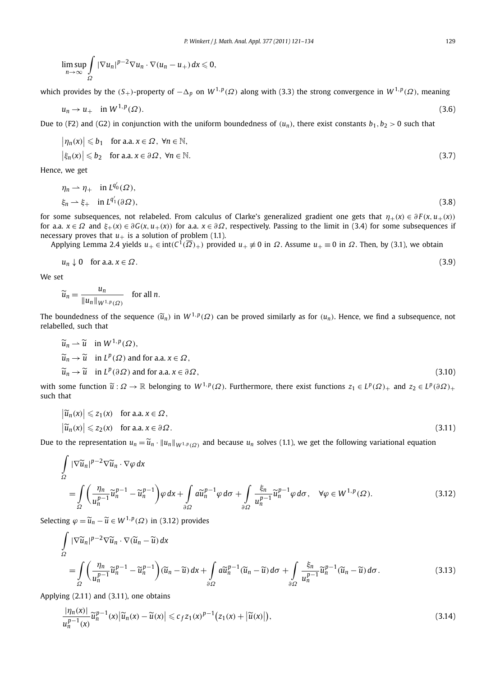$$
\limsup_{n\to\infty}\int_{\Omega}|\nabla u_n|^{p-2}\nabla u_n\cdot\nabla(u_n-u_+)dx\leqslant 0,
$$

which provides by the *(S*+*)*-property of −*-<sup>p</sup>* on *W* <sup>1</sup>*,<sup>p</sup>(Ω)* along with (3.3) the strong convergence in *W* <sup>1</sup>*,<sup>p</sup>(Ω)*, meaning

$$
u_n \to u_+ \quad \text{in } W^{1,p}(\Omega). \tag{3.6}
$$

Due to (F2) and (G2) in conjunction with the uniform boundedness of  $(u_n)$ , there exist constants  $b_1, b_2 > 0$  such that

$$
|\eta_n(x)| \leq b_1 \quad \text{for a.a. } x \in \Omega, \ \forall n \in \mathbb{N},
$$
  

$$
|\xi_n(x)| \leq b_2 \quad \text{for a.a. } x \in \partial \Omega, \ \forall n \in \mathbb{N}.
$$
 (3.7)

Hence, we get

$$
\eta_n \to \eta_+ \quad \text{in } L^{q'_0}(\Omega),
$$
  
\n
$$
\xi_n \to \xi_+ \quad \text{in } L^{q'_1}(\partial \Omega),
$$
\n(3.8)

for some subsequences, not relabeled. From calculus of Clarke's generalized gradient one gets that  $\eta_+(x) \in \partial F(x, u_+(x))$ for a.a.  $x \in \Omega$  and  $\xi_{+}(x) \in \partial G(x, u_{+}(x))$  for a.a.  $x \in \partial \Omega$ , respectively. Passing to the limit in (3.4) for some subsequences if necessary proves that  $u_+$  is a solution of problem (1.1).

Applying Lemma 2.4 yields  $u_+ \in \text{int}(C^1(\overline{\Omega})_+)$  provided  $u_+ \neq 0$  in  $\Omega$ . Assume  $u_+ \equiv 0$  in  $\Omega$ . Then, by (3.1), we obtain

$$
u_n \downarrow 0 \quad \text{for a.a. } x \in \Omega. \tag{3.9}
$$

We set

$$
\widetilde{u}_n = \frac{u_n}{\|u_n\|_{W^{1,p}(\Omega)}} \quad \text{for all } n.
$$

The boundedness of the sequence  $(\widetilde{u}_n)$  in  $W^{1,p}(\Omega)$  can be proved similarly as for  $(u_n)$ . Hence, we find a subsequence, not relabelled, such that

$$
\widetilde{u}_n \to \widetilde{u} \quad \text{in } W^{1,p}(\Omega),
$$
\n
$$
\widetilde{u}_n \to \widetilde{u} \quad \text{in } L^p(\Omega) \text{ and for a.a. } x \in \Omega,
$$
\n
$$
\widetilde{u}_n \to \widetilde{u} \quad \text{in } L^p(\partial \Omega) \text{ and for a.a. } x \in \partial \Omega,
$$
\n(3.10)

with some function  $\tilde{u}: \Omega \to \mathbb{R}$  belonging to  $W^{1,p}(\Omega)$ . Furthermore, there exist functions  $z_1 \in L^p(\Omega)_+$  and  $z_2 \in L^p(\partial \Omega)_+$ such that

$$
\left|\widetilde{u}_n(x)\right| \leq z_1(x) \quad \text{for a.a. } x \in \Omega,
$$
\n
$$
\left|\widetilde{u}_n(x)\right| \leq z_2(x) \quad \text{for a.a. } x \in \partial\Omega.
$$
\n(3.11)

Due to the representation  $u_n = \widetilde{u}_n \cdot \|u_n\|_{W^{1,p}(\Omega)}$  and because  $u_n$  solves (1.1), we get the following variational equation

$$
\int_{\Omega} |\nabla \widetilde{u}_{n}|^{p-2} \nabla \widetilde{u}_{n} \cdot \nabla \varphi \, dx
$$
\n
$$
= \int_{\Omega} \left( \frac{\eta_{n}}{u_{n}^{p-1}} \widetilde{u}_{n}^{p-1} - \widetilde{u}_{n}^{p-1} \right) \varphi \, dx + \int_{\partial \Omega} a \widetilde{u}_{n}^{p-1} \varphi \, d\sigma + \int_{\partial \Omega} \frac{\xi_{n}}{u_{n}^{p-1}} \widetilde{u}_{n}^{p-1} \varphi \, d\sigma, \quad \forall \varphi \in W^{1,p}(\Omega). \tag{3.12}
$$

Selecting  $\varphi = \widetilde{u}_n - \widetilde{u} \in W^{1,p}(\Omega)$  in (3.12) provides

$$
\int_{\Omega} |\nabla \widetilde{u}_{n}|^{p-2} \nabla \widetilde{u}_{n} \cdot \nabla (\widetilde{u}_{n} - \widetilde{u}) dx
$$
\n
$$
= \int_{\Omega} \left( \frac{\eta_{n}}{u_{n}^{p-1}} \widetilde{u}_{n}^{p-1} - \widetilde{u}_{n}^{p-1} \right) (\widetilde{u}_{n} - \widetilde{u}) dx + \int_{\partial \Omega} a \widetilde{u}_{n}^{p-1} (\widetilde{u}_{n} - \widetilde{u}) d\sigma + \int_{\partial \Omega} \frac{\xi_{n}}{u_{n}^{p-1}} \widetilde{u}_{n}^{p-1} (\widetilde{u}_{n} - \widetilde{u}) d\sigma.
$$
\n(3.13)

Applying (2.11) and (3.11), one obtains

$$
\frac{|\eta_n(x)|}{u_n^{p-1}(x)}\widetilde{u}_n^{p-1}(x)\big|\widetilde{u}_n(x)-\widetilde{u}(x)\big|\leqslant c_f z_1(x)^{p-1}\big(z_1(x)+\big|\widetilde{u}(x)\big|\big),\tag{3.14}
$$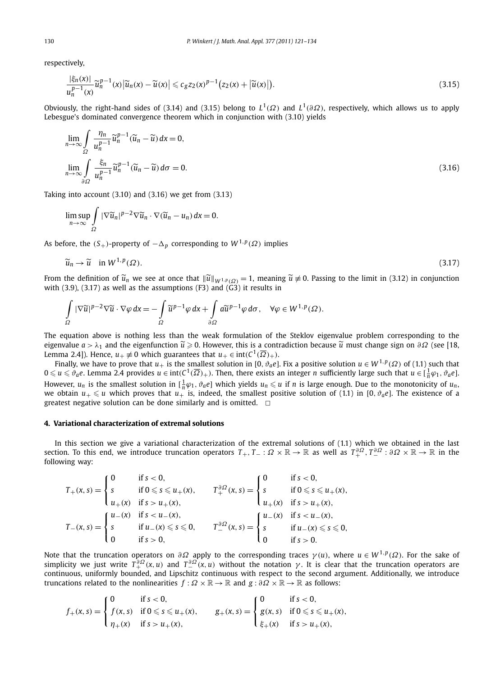respectively,

$$
\frac{|\xi_n(x)|}{u_n^{p-1}(x)}\widetilde{u}_n^{p-1}(x)\left|\widetilde{u}_n(x)-\widetilde{u}(x)\right|\leqslant c_g z_2(x)^{p-1}\big(z_2(x)+\left|\widetilde{u}(x)\right|\big).
$$
\n(3.15)

Obviously, the right-hand sides of (3.14) and (3.15) belong to  $L^1(\Omega)$  and  $L^1(\partial\Omega)$ , respectively, which allows us to apply Lebesgue's dominated convergence theorem which in conjunction with (3.10) yields

$$
\lim_{n \to \infty} \int_{\Omega} \frac{\eta_n}{u_n^{p-1}} \widetilde{u}_n^{p-1} (\widetilde{u}_n - \widetilde{u}) dx = 0,
$$
\n
$$
\lim_{n \to \infty} \int_{\partial \Omega} \frac{\xi_n}{u_n^{p-1}} \widetilde{u}_n^{p-1} (\widetilde{u}_n - \widetilde{u}) d\sigma = 0.
$$
\n(3.16)

Taking into account (3.10) and (3.16) we get from (3.13)

$$
\limsup_{n\to\infty}\int_{\Omega}|\nabla \widetilde{u}_n|^{p-2}\nabla \widetilde{u}_n\cdot\nabla (\widetilde{u}_n-u_n) dx=0.
$$

As before, the  $(S_+)$ -property of  $-\Delta_p$  corresponding to  $W^{1,p}(\Omega)$  implies

$$
\widetilde{u}_n \to \widetilde{u} \quad \text{in } W^{1,p}(\Omega). \tag{3.17}
$$

From the definition of  $\tilde{u}_n$  we see at once that  $\|\tilde{u}\|_{W^{1,p}(\Omega)} = 1$ , meaning  $\tilde{u} \neq 0$ . Passing to the limit in (3.12) in conjunction with (3.0) (3.17) so well as the assumptions (53) and (63) it passiles in with  $(3.9)$ ,  $(3.17)$  as well as the assumptions  $(F3)$  and  $(G3)$  it results in

$$
\int_{\Omega} |\nabla \widetilde{u}|^{p-2} \nabla \widetilde{u} \cdot \nabla \varphi \, dx = -\int_{\Omega} \widetilde{u}^{p-1} \varphi \, dx + \int_{\partial \Omega} a \widetilde{u}^{p-1} \varphi \, d\sigma, \quad \forall \varphi \in W^{1,p}(\Omega).
$$

The equation above is nothing less than the weak formulation of the Steklov eigenvalue problem corresponding to the eigenvalue *a* > λ<sub>1</sub> and the eigenfunction  $\tilde{u} \ge 0$ . However, this is a contradiction because  $\tilde{u}$  must change sign on *∂Ω* (see [18, <br>Larges 2.4). Hance we (*Q* which were that we a int(*C*) ⊘ Lemma 2.4]). Hence,  $u_+ \neq 0$  which guarantees that  $u_+ \in \text{int}(C^1(\overline{\Omega})_+)$ .

Finally, we have to prove that  $u_+$  is the smallest solution in [0,  $\vartheta_a e$ ]. Fix a positive solution  $u \in W^{1,p}(\Omega)$  of (1.1) such that  $0 \leq u \leq \vartheta_a e$ . Lemma 2.4 provides  $u \in \text{int}(C^1(\overline{\Omega})_+)$ . Then, there exists an integer *n* sufficiently large such that  $u \in [\frac{1}{n}\varphi_1, \vartheta_a e]$ . However,  $u_n$  is the smallest solution in  $[\frac{1}{n}\varphi_1, \vartheta_a e]$  which yields  $u_n \leq u$  if *n* is large enough. Due to the monotonicity of  $u_n$ , we obtain  $u_+ \leq u$  which proves that  $u_+$  is, indeed, the smallest positive solution of (1.1) in [0,  $\vartheta_a$ *e*]. The existence of a greatest negative solution can be done similarly and is omitted.  $\Box$ 

#### **4. Variational characterization of extremal solutions**

In this section we give a variational characterization of the extremal solutions of (1.1) which we obtained in the last section. To this end, we introduce truncation operators  $T_+,T_-:\Omega\times\mathbb R\to\mathbb R$  as well as  $T_+^{\partial\Omega},T_-^{\partial\Omega}:\partial\Omega\times\mathbb R\to\mathbb R$  in the following way:

$$
T_{+}(x, s) = \begin{cases} 0 & \text{if } s < 0, \\ s & \text{if } 0 \leq s \leq u_{+}(x), \\ u_{+}(x) & \text{if } s > u_{+}(x), \end{cases} \qquad T_{+}^{\partial \Omega}(x, s) = \begin{cases} 0 & \text{if } s < 0, \\ s & \text{if } 0 \leq s \leq u_{+}(x), \\ u_{+}(x) & \text{if } s > u_{+}(x), \end{cases}
$$

$$
T_{-}(x, s) = \begin{cases} u_{-}(x) & \text{if } s < u_{-}(x), \\ s & \text{if } u_{-}(x) \leq s \leq 0, \\ 0 & \text{if } s > 0, \end{cases} \qquad T_{-}^{\partial \Omega}(x, s) = \begin{cases} u_{-}(x) & \text{if } s < u_{-}(x), \\ s & \text{if } u_{-}(x) \leq s \leq 0, \\ 0 & \text{if } s > 0. \end{cases}
$$

Note that the truncation operators on  $\partial\Omega$  apply to the corresponding traces  $\gamma(u)$ , where  $u \in W^{1,p}(\Omega)$ . For the sake of simplicity we just write  $T_+^{\partial\Omega}(x,u)$  and  $T_-^{\partial\Omega}(x,u)$  without the notation  $\gamma$ . It is clear that the truncation operators are continuous, uniformly bounded, and Lipschitz continuous with respect to the second argument. Additionally, we introduce truncations related to the nonlinearities  $f : \Omega \times \mathbb{R} \to \mathbb{R}$  and  $g : \partial \Omega \times \mathbb{R} \to \mathbb{R}$  as follows:

$$
f_{+}(x, s) = \begin{cases} 0 & \text{if } s < 0, \\ f(x, s) & \text{if } 0 \leq s \leq u_{+}(x), \\ \eta_{+}(x) & \text{if } s > u_{+}(x), \end{cases} \qquad g_{+}(x, s) = \begin{cases} 0 & \text{if } s < 0, \\ g(x, s) & \text{if } 0 \leq s \leq u_{+}(x), \\ \xi_{+}(x) & \text{if } s > u_{+}(x), \end{cases}
$$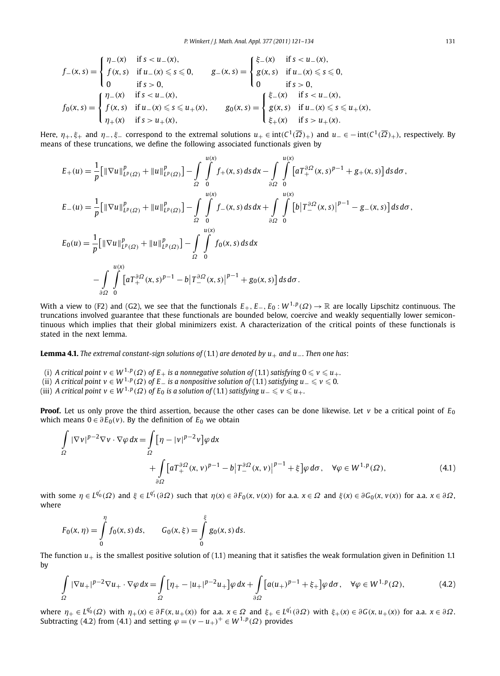$$
f_{-}(x, s) = \begin{cases} \eta_{-}(x) & \text{if } s < u_{-}(x), \\ f(x, s) & \text{if } u_{-}(x) \leq s \leq 0, \\ 0 & \text{if } s > 0, \end{cases} \qquad g_{-}(x, s) = \begin{cases} \xi_{-}(x) & \text{if } s < u_{-}(x), \\ g(x, s) & \text{if } u_{-}(x) \leq s \leq 0, \\ 0 & \text{if } s > 0, \end{cases}
$$
\n
$$
f_{0}(x, s) = \begin{cases} \eta_{-}(x) & \text{if } s < u_{-}(x), \\ f(x, s) & \text{if } u_{-}(x) \leq s \leq u_{+}(x), \\ \eta_{+}(x) & \text{if } s > u_{+}(x), \end{cases} \qquad g_{0}(x, s) = \begin{cases} \xi_{-}(x) & \text{if } s < u_{-}(x), \\ g(x, s) & \text{if } u_{-}(x) \leq s \leq u_{+}(x), \\ g_{+}(x) & \text{if } s > u_{+}(x). \end{cases}
$$

Here,  $\eta_+$ ,  $\xi_+$  and  $\eta_-, \xi_-$  correspond to the extremal solutions  $u_+ \in \text{int}(C^1(\overline{\Omega})_+)$  and  $u_- \in -\text{int}(C^1(\overline{\Omega})_+)$ , respectively. By means of these truncations, we define the following associated functionals given by

$$
E_{+}(u) = \frac{1}{p} \Big[ \|\nabla u\|_{L^{p}(\Omega)}^{p} + \|u\|_{L^{p}(\Omega)}^{p} \Big] - \int_{\Omega} \int_{0}^{u(x)} f_{+}(x, s) ds dx - \int_{\partial\Omega} \int_{0}^{u(x)} \Big[ a T_{+}^{\partial\Omega}(x, s)^{p-1} + g_{+}(x, s) \Big] ds d\sigma,
$$
  
\n
$$
E_{-}(u) = \frac{1}{p} \Big[ \|\nabla u\|_{L^{p}(\Omega)}^{p} + \|u\|_{L^{p}(\Omega)}^{p} \Big] - \int_{\Omega} \int_{0}^{u(x)} f_{-}(x, s) ds dx + \int_{\partial\Omega} \int_{0}^{u(x)} \Big[ b \Big| T_{-}^{\partial\Omega}(x, s) \Big|^{p-1} - g_{-}(x, s) \Big] ds d\sigma,
$$
  
\n
$$
E_{0}(u) = \frac{1}{p} \Big[ \|\nabla u\|_{L^{p}(\Omega)}^{p} + \|u\|_{L^{p}(\Omega)}^{p} \Big] - \int_{\Omega} \int_{0}^{u(x)} f_{0}(x, s) ds dx
$$
  
\n
$$
- \int_{\partial\Omega} \int_{0}^{u(x)} \Big[ a T_{+}^{\partial\Omega}(x, s)^{p-1} - b \Big| T_{-}^{\partial\Omega}(x, s) \Big|^{p-1} + g_{0}(x, s) \Big] ds d\sigma.
$$

With a view to (F2) and (G2), we see that the functionals *E*+*, E*−*, E*<sup>0</sup> : *W* <sup>1</sup>*,<sup>p</sup>(Ω)* → R are locally Lipschitz continuous. The truncations involved guarantee that these functionals are bounded below, coercive and weakly sequentially lower semicontinuous which implies that their global minimizers exist. A characterization of the critical points of these functionals is stated in the next lemma.

**Lemma 4.1.** *The extremal constant-sign solutions of* (1.1) *are denoted by u*+ *and u*−*. Then one has*:

- (i) A critical point  $v \in W^{1,p}(\varOmega)$  of  $E_+$  is a nonnegative solution of (1.1) satisfying  $0 \leqslant v \leqslant u_+.$
- (ii) *A* critical point  $v \in W^{1,p}(\Omega)$  of  $E_-$  is a nonpositive solution of (1.1) satisfying  $u_-\leqslant v \leqslant 0.$
- (iii) *A* critical point  $v \in W^{1,p}(\varOmega)$  of  $E_0$  is a solution of (1.1) satisfying  $u_-\leqslant v \leqslant u_+ .$

**Proof.** Let us only prove the third assertion, because the other cases can be done likewise. Let  $v$  be a critical point of  $E_0$ which means  $0 ∈ ∂E_0(v)$ . By the definition of  $E_0$  we obtain

$$
\int_{\Omega} |\nabla v|^{p-2} \nabla v \cdot \nabla \varphi \, dx = \int_{\Omega} \left[ \eta - |v|^{p-2} v \right] \varphi \, dx \n+ \int_{\partial \Omega} \left[ a T_{+}^{\partial \Omega} (x, v)^{p-1} - b \right] T_{-}^{\partial \Omega} (x, v) \Big|^{p-1} + \xi \left[ \varphi \, d\sigma, \quad \forall \varphi \in W^{1, p}(\Omega), \right]
$$
\n(4.1)

with some  $\eta\in L^{q_0'}(\varOmega)$  and  $\xi\in L^{q_1'}(\partial\varOmega)$  such that  $\eta(x)\in\partial F_0(x,\nu(x))$  for a.a.  $x\in\varOmega$  and  $\xi(x)\in\partial G_0(x,\nu(x))$  for a.a.  $x\in\partial\varOmega$ , where

$$
F_0(x, \eta) = \int\limits_0^{\eta} f_0(x, s) \, ds, \qquad G_0(x, \xi) = \int\limits_0^{\xi} g_0(x, s) \, ds.
$$

The function  $u_+$  is the smallest positive solution of (1.1) meaning that it satisfies the weak formulation given in Definition 1.1 by

$$
\int_{\Omega} |\nabla u_{+}|^{p-2} \nabla u_{+} \cdot \nabla \varphi \, dx = \int_{\Omega} \left[ \eta_{+} - |u_{+}|^{p-2} u_{+} \right] \varphi \, dx + \int_{\partial \Omega} \left[ a(u_{+})^{p-1} + \xi_{+} \right] \varphi \, d\sigma, \quad \forall \varphi \in W^{1,p}(\Omega),\tag{4.2}
$$

where  $\eta_+ \in L^{q_0'}(\Omega)$  with  $\eta_+(x) \in \partial F(x, u_+(x))$  for a.a.  $x \in \Omega$  and  $\xi_+ \in L^{q_1'}(\partial \Omega)$  with  $\xi_+(x) \in \partial G(x, u_+(x))$  for a.a.  $x \in \partial \Omega$ . Subtracting (4.2) from (4.1) and setting  $\varphi = (\nu - u_+)^{+} \in W^{1,p}(\Omega)$  provides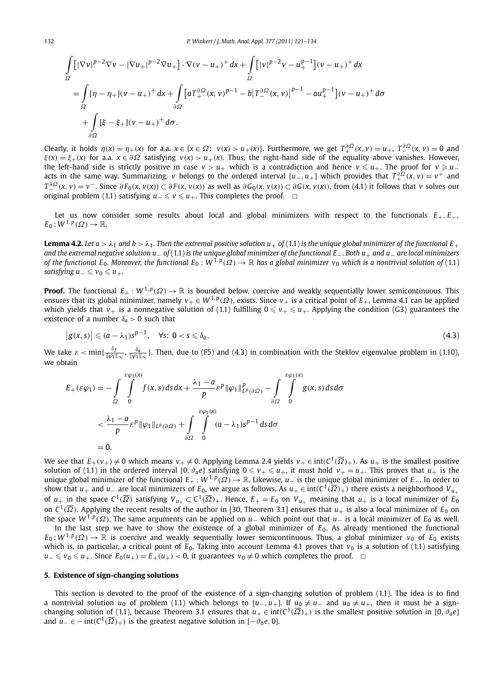$$
\int_{\Omega} [|\nabla v|^{p-2} \nabla v - |\nabla u_+|^{p-2} \nabla u_+] \cdot \nabla (v - u_+)^+ dx + \int_{\Omega} [|v|^{p-2} v - u_+^{p-1}] (v - u_+)^+ dx
$$
\n
$$
= \int_{\Omega} [\eta - \eta_+](v - u_+)^+ dx + \int_{\partial \Omega} [a T_+^{\partial \Omega} (x, v)^{p-1} - b | T_-^{\partial \Omega} (x, v) |^{p-1} - a u_+^{p-1}] (v - u_+)^+ d\sigma
$$
\n
$$
+ \int_{\partial \Omega} [\xi - \xi_+](v - u_+)^+ d\sigma.
$$

Clearly, it holds  $\eta(x) = \eta_+(x)$  for a.a.  $x \in \{x \in \Omega: v(x) > u_+(x)\}$ . Furthermore, we get  $T_+^{\partial \Omega}(x, v) = u_+$ ,  $T_-^{\partial \Omega}(x, v) = 0$  and  $\xi(x) = \xi_+(x)$  for a.a.  $x \in \partial \Omega$  satisfying  $v(x) > u_+(x)$ . Thus, the right-hand side of the equality above vanishes. However, the left-hand side is strictly positive in case  $v > u_+$  which is a contradiction and hence  $v \leq u_+$ . The proof for  $v \geq u_$ acts in the same way. Summarizing, *v* belongs to the ordered interval  $[u_-,u_+]$  which provides that  $T_+^{\partial\Omega}(x,v)=v^+$  and  $T_{-}^{\partial\Omega}(x, v) = v^{-}$ . Since  $\partial F_0(x, v(x)) \subset \partial F(x, v(x))$  as well as  $\partial G_0(x, v(x)) \subset \partial G(x, v(x))$ , from (4.1) it follows that v solves our original problem (1.1) satisfying  $u_-\leqslant v\leqslant u_+$ . This completes the proof.  $□$ 

Let us now consider some results about local and global minimizers with respect to the functionals *E*+*, E*−*,*  $E_0: W^{1,p}(\Omega) \to \mathbb{R}.$ 

**Lemma 4.2.** Let  $a > \lambda_1$  and  $b > \lambda_1$ . Then the extremal positive solution  $u_+$  of (1.1) is the unique global minimizer of the functional  $E_+$ *and the extremal negative solution u*− *of* (1.1) *is the unique global minimizer of the functional E*−*. Both u*+ *and u*− *are local minimizers of the functional E*<sub>0</sub>. Moreover, the functional E<sub>0</sub> :  $W^{1,p}(\Omega) \to \mathbb{R}$  has a global minimizer  $v_0$  which is a nontrivial solution of (1.1)  $satisfying u_ = \leqslant v_0 \leqslant u_+.$ 

**Proof.** The functional  $E_+ : W^{1,p}(\Omega) \to \mathbb{R}$  is bounded below, coercive and weakly sequentially lower semicontinuous. This ensures that its global minimizer, namely  $v_+ \in W^{1,p}(\Omega)$ , exists. Since  $v_+$  is a critical point of  $E_+$ , Lemma 4.1 can be applied which yields that  $v_+$  is a nonnegative solution of (1.1) fulfilling  $0\leqslant v_+\leqslant u_+$ . Applying the condition (G3) guarantees the existence of a number  $\delta_a > 0$  such that

$$
|g(x,s)| \leqslant (a - \lambda_1)s^{p-1}, \quad \forall s: \ 0 < s \leqslant \delta_a. \tag{4.3}
$$

We take  $\varepsilon < \min\{\frac{\delta_f}{\|\varphi_1\|_{\infty}},\frac{\delta_a}{\|\varphi_1\|_{\infty}}\}$ . Then, due to (F5) and (4.3) in combination with the Steklov eigenvalue problem in (1.10), we obtain

$$
E_{+}(\varepsilon \varphi_{1}) = -\int_{\Omega} \int_{0}^{\varepsilon \varphi_{1}(x)} f(x, s) ds dx + \frac{\lambda_{1} - a}{p} \varepsilon^{p} \|\varphi_{1}\|_{L^{p}(\partial \Omega)}^{p} - \int_{\partial \Omega} \int_{0}^{\varepsilon \varphi_{1}(x)} g(x, s) ds d\sigma
$$
  

$$
< \frac{\lambda_{1} - a}{p} \varepsilon^{p} \|\varphi_{1}\|_{L^{p}(\partial \Omega)} + \int_{\partial \Omega} \int_{0}^{\varepsilon \varphi_{1}(x)} (a - \lambda_{1}) s^{p-1} ds d\sigma
$$
  
= 0.

We see that  $E_+(v_+) \neq 0$  which means  $v_+ \neq 0$ . Applying Lemma 2.4 yields  $v_+ \in \text{int}(C^1(\overline{\Omega})_+)$ . As  $u_+$  is the smallest positive solution of (1.1) in the ordered interval [0,  $\vartheta_a e$ ] satisfying  $0 \le v_+ \le u_+$ , it must hold  $v_+ = u_+$ . This proves that  $u_+$  is the unique global minimizer of the functional *E*<sup>+</sup> : *W* <sup>1</sup>*,<sup>p</sup>(Ω)* → R. Likewise, *u*<sup>−</sup> is the unique global minimizer of *E*−. In order to show that *u*<sub>+</sub> and *u*<sub>−</sub> are local minimizers of *E*<sub>0</sub>, we argue as follows. As *u*<sub>+</sub> ∈ int( $C^1(\overline{\Omega})_+$ ) there exists a neighborhood  $V_{u_+}$ of  $u_+$  in the space  $C^1(\overline{\Omega})$  satisfying  $V_{u_+} \subset C^1(\overline{\Omega})_+$ . Hence,  $E_+ = E_0$  on  $V_{u_+}$  meaning that  $u_+$  is a local minimizer of  $E_0$ on *C*<sup>1</sup>*(Ω)*. Applying the recent results of the author in [30, Theorem 3.1] ensures that *u*<sup>+</sup> is also a local minimizer of *E*<sup>0</sup> on the space  $W^{1,p}(\Omega)$ . The same arguments can be applied on *u*− which point out that *u*− is a local minimizer of *E*<sub>0</sub> as well.

In the last step we have to show the existence of a global minimizer of  $E_0$ . As already mentioned the functional  $E_0: W^{1,p}(\Omega) \to \mathbb{R}$  is coercive and weakly sequentially lower semicontinuous. Thus, a global minimizer  $v_0$  of  $E_0$  exists which is, in particular, a critical point of  $E_0$ . Taking into account Lemma 4.1 proves that  $v_0$  is a solution of (1.1) satisfying *u*−  $\le v_0 \le u_+$ . Since  $E_0(u_+) = E_+(u_+) < 0$ , it guarantees  $v_0 \ne 0$  which completes the proof.  $\Box$ 

#### **5. Existence of sign-changing solutions**

This section is devoted to the proof of the existence of a sign-changing solution of problem (1.1). The idea is to find a nontrivial solution  $u_0$  of problem (1.1) which belongs to  $[u_-, u_+]$ . If  $u_0 \neq u_-$  and  $u_0 \neq u_+$ , then it must be a signchanging solution of (1.1), because Theorem 3.1 ensures that  $u_+ \in \text{int}(C^1(\overline{\Omega})_+)$  is the smallest positive solution in [0,  $\vartheta_a e$ ] and  $u_-\in$  − int $(C^1(\overline{\Omega})_+)$  is the greatest negative solution in  $[-\partial_h e, 0]$ .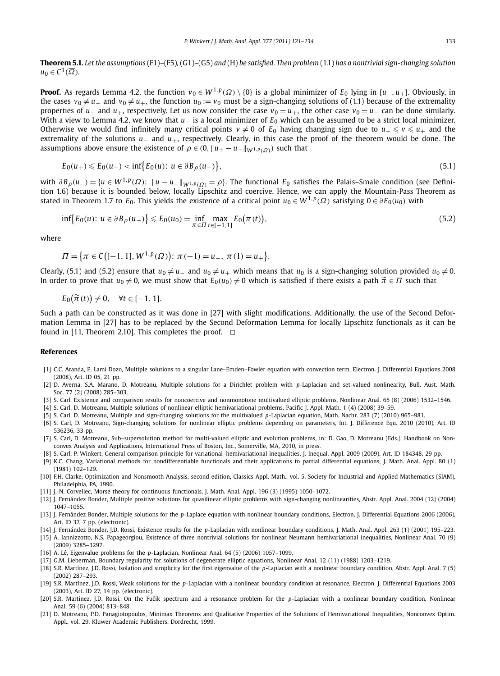**Theorem 5.1.** *Let the assumptions* (F1)*–*(F5)*,* (G1)*–*(G5) *and* (H) *be satisfied. Then problem* (1.1) *has a nontrivial sign-changing solution*  $u_0 \in C^1(\overline{\Omega})$ *.* 

**Proof.** As regards Lemma 4.2, the function  $v_0 \in W^{1,p}(\Omega) \setminus \{0\}$  is a global minimizer of  $E_0$  lying in  $[u_-, u_+]$ . Obviously, in the cases  $v_0 \neq u_-$  and  $v_0 \neq u_+$ , the function  $u_0 := v_0$  must be a sign-changing solutions of (1.1) because of the extremality properties of *u*<sub>−</sub> and *u*<sub>+</sub>, respectively. Let us now consider the case  $v_0 = u_+$ , the other case  $v_0 = u_-$  can be done similarly. With a view to Lemma 4.2, we know that *u*− is a local minimizer of *E*<sup>0</sup> which can be assumed to be a strict local minimizer. Otherwise we would find infinitely many critical points  $v \neq 0$  of  $E_0$  having changing sign due to  $u_-\leqslant v\leqslant u_+$  and the extremality of the solutions *u*− and *u*+, respectively. Clearly, in this case the proof of the theorem would be done. The assumptions above ensure the existence of  $\rho \in (0, ||u_{+} - u_{-}||_{W^{1,p}(\Omega)})$  such that

$$
E_0(u_+) \le E_0(u_-) < \inf \{ E_0(u) : u \in \partial B_\rho(u_-) \},\tag{5.1}
$$

with  $\partial B_{\rho}(u_{-}) = \{u \in W^{1,p}(\Omega): ||u - u_{-}||_{W^{1,p}(\Omega)} = \rho\}$ . The functional  $E_0$  satisfies the Palais-Smale condition (see Definition 1.6) because it is bounded below, locally Lipschitz and coercive. Hence, we can apply the Mountain-Pass Theorem as stated in Theorem 1.7 to  $E_0$ . This yields the existence of a critical point  $u_0 \in W^{1,p}(\Omega)$  satisfying  $0 \in \partial E_0(u_0)$  with

$$
\inf \{ E_0(u) : u \in \partial B_\rho(u_-) \} \le E_0(u_0) = \inf_{\pi \in \Pi} \max_{t \in [-1,1]} E_0(\pi(t)), \tag{5.2}
$$

where

$$
\Pi = \{ \pi \in C \big( [-1, 1], W^{1, p}(\Omega) \big) : \pi(-1) = u_-, \pi(1) = u_+ \}.
$$

Clearly, (5.1) and (5.2) ensure that  $u_0 \neq u_-$  and  $u_0 \neq u_+$  which means that  $u_0$  is a sign-changing solution provided  $u_0 \neq 0$ . In order to prove that  $u_0 \neq 0$ , we must show that  $E_0(u_0) \neq 0$  which is satisfied if there exists a path  $\widetilde{\pi} \in \Pi$  such that

$$
E_0\big(\widetilde{\pi}(t)\big)\neq 0,\quad \forall t\in[-1,1].
$$

Such a path can be constructed as it was done in [27] with slight modifications. Additionally, the use of the Second Deformation Lemma in [27] has to be replaced by the Second Deformation Lemma for locally Lipschitz functionals as it can be found in [11, Theorem 2.10]. This completes the proof.  $\Box$ 

#### **References**

- [1] C.C. Aranda, E. Lami Dozo, Multiple solutions to a singular Lane–Emden–Fowler equation with convection term, Electron. J. Differential Equations 2008 (2008), Art. ID 05, 21 pp.
- [2] D. Averna, S.A. Marano, D. Motreanu, Multiple solutions for a Dirichlet problem with *p*-Laplacian and set-valued nonlinearity, Bull. Aust. Math. Soc. 77 (2) (2008) 285–303.
- [3] S. Carl, Existence and comparison results for noncoercive and nonmonotone multivalued elliptic problems, Nonlinear Anal. 65 (8) (2006) 1532–1546.
- [4] S. Carl, D. Motreanu, Multiple solutions of nonlinear elliptic hemivariational problems, Pacific J. Appl. Math. 1 (4) (2008) 39–59.
- [5] S. Carl, D. Motreanu, Multiple and sign-changing solutions for the multivalued *p*-Laplacian equation, Math. Nachr. 283 (7) (2010) 965–981.
- [6] S. Carl, D. Motreanu, Sign-changing solutions for nonlinear elliptic problems depending on parameters, Int. J. Difference Equ. 2010 (2010), Art. ID 536236, 33 pp.
- [7] S. Carl, D. Motreanu, Sub–supersolution method for multi-valued elliptic and evolution problems, in: D. Gao, D. Motreanu (Eds.), Handbook on Nonconvex Analysis and Applications, International Press of Boston, Inc., Somerville, MA, 2010, in press.
- [8] S. Carl, P. Winkert, General comparison principle for variational–hemivariational inequalities, J. Inequal. Appl. 2009 (2009), Art. ID 184348, 29 pp.
- [9] K.C. Chang, Variational methods for nondifferentiable functionals and their applications to partial differential equations, J. Math. Anal. Appl. 80 (1) (1981) 102–129.
- [10] F.H. Clarke, Optimization and Nonsmooth Analysis, second edition, Classics Appl. Math., vol. 5, Society for Industrial and Applied Mathematics (SIAM), Philadelphia, PA, 1990.
- [11] J.-N. Corvellec, Morse theory for continuous functionals, J. Math. Anal. Appl. 196 (3) (1995) 1050–1072.
- [12] J. Fernández Bonder, Multiple positive solutions for quasilinear elliptic problems with sign-changing nonlinearities, Abstr. Appl. Anal. 2004 (12) (2004) 1047–1055.
- [13] J. Fernández Bonder, Multiple solutions for the *p*-Laplace equation with nonlinear boundary conditions, Electron. J. Differential Equations 2006 (2006), Art. ID 37, 7 pp. (electronic).
- [14] J. Fernández Bonder, J.D. Rossi, Existence results for the *p*-Laplacian with nonlinear boundary conditions, J. Math. Anal. Appl. 263 (1) (2001) 195–223.
- [15] A. Iannizzotto, N.S. Papageorgiou, Existence of three nontrivial solutions for nonlinear Neumann hemivariational inequalities, Nonlinear Anal. 70 (9) (2009) 3285–3297.
- [16] A. Lê, Eigenvalue problems for the *p*-Laplacian, Nonlinear Anal. 64 (5) (2006) 1057–1099.
- [17] G.M. Lieberman, Boundary regularity for solutions of degenerate elliptic equations, Nonlinear Anal. 12 (11) (1988) 1203–1219.
- [18] S.R. Martínez, J.D. Rossi, Isolation and simplicity for the first eigenvalue of the *p*-Laplacian with a nonlinear boundary condition, Abstr. Appl. Anal. 7 (5) (2002) 287–293.
- [19] S.R. Martínez, J.D. Rossi, Weak solutions for the *p*-Laplacian with a nonlinear boundary condition at resonance, Electron. J. Differential Equations 2003 (2003), Art. ID 27, 14 pp. (electronic).
- [20] S.R. Martínez, J.D. Rossi, On the Fučik spectrum and a resonance problem for the p-Laplacian with a nonlinear boundary condition, Nonlinear Anal. 59 (6) (2004) 813–848.
- [21] D. Motreanu, P.D. Panagiotopoulos, Minimax Theorems and Qualitative Properties of the Solutions of Hemivariational Inequalities, Nonconvex Optim. Appl., vol. 29, Kluwer Academic Publishers, Dordrecht, 1999.